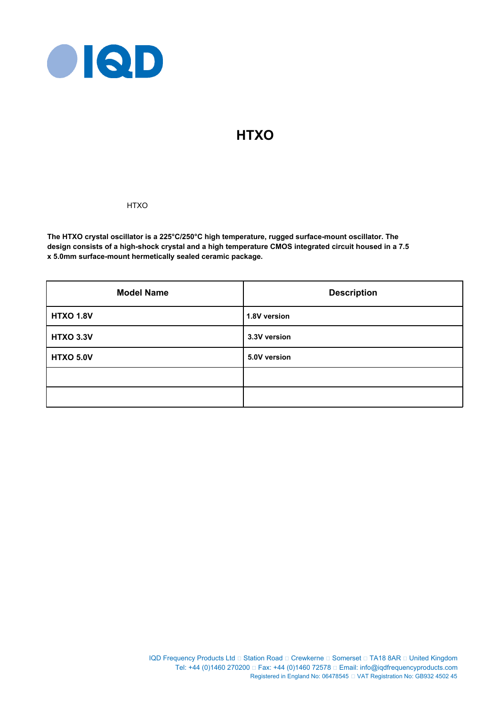

# **HTXO**

## **HTXO**

**The HTXO crystal oscillator is a 225°C/250°C high temperature, rugged surface-mount oscillator. The design consists of a high-shock crystal and a high temperature CMOS integrated circuit housed in a 7.5 x 5.0mm surface-mount hermetically sealed ceramic package.**

| <b>Model Name</b> | <b>Description</b> |  |  |
|-------------------|--------------------|--|--|
| <b>HTXO 1.8V</b>  | 1.8V version       |  |  |
| <b>HTXO 3.3V</b>  | 3.3V version       |  |  |
| <b>HTXO 5.0V</b>  | 5.0V version       |  |  |
|                   |                    |  |  |
|                   |                    |  |  |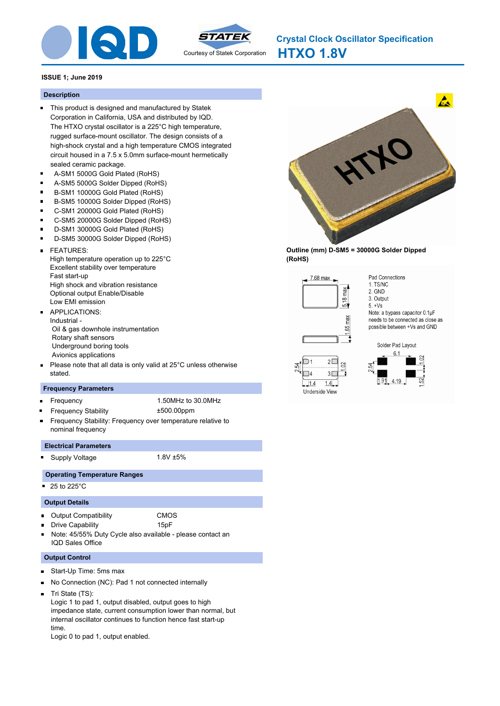



**HTXO 1.8V Crystal Clock Oscillator Specification**

#### **ISSUE 1; June 2019**

#### **Description**

- This product is designed and manufactured by Statek Corporation in California, USA and distributed by IQD. The HTXO crystal oscillator is a 225°C high temperature, rugged surface-mount oscillator. The design consists of a high-shock crystal and a high temperature CMOS integrated circuit housed in a 7.5 x 5.0mm surface-mount hermetically sealed ceramic package.
- A-SM1 5000G Gold Plated (RoHS) Ē.
- $\blacksquare$ A-SM5 5000G Solder Dipped (RoHS)
- B-SM1 10000G Gold Plated (RoHS)
- B-SM5 10000G Solder Dipped (RoHS)  $\blacksquare$
- C-SM1 20000G Gold Plated (RoHS)
- $\blacksquare$ C-SM5 20000G Solder Dipped (RoHS)
- D-SM1 30000G Gold Plated (RoHS)
- ř. D-SM5 30000G Solder Dipped (RoHS)
- FEATURES:  $\blacksquare$ High temperature operation up to 225°C Excellent stability over temperature Fast start-up High shock and vibration resistance Optional output Enable/Disable Low EMI emission APPLICATIONS:
- Industrial Oil & gas downhole instrumentation Rotary shaft sensors Underground boring tools Avionics applications
- Please note that all data is only valid at 25°C unless otherwise  $\blacksquare$ stated.

#### **Frequency Parameters**

- Frequency 1.50MHz to 30.0MHz  $\blacksquare$ 
	- Frequency Stability ±500.00ppm
- Frequency Stability: Frequency over temperature relative to nominal frequency

#### **Electrical Parameters**

Supply Voltage 1.8V ±5%

## **Operating Temperature Ranges**

 $\blacksquare$  25 to 225 $^{\circ}$ C

## **Output Details**

- $\blacksquare$ Output Compatibility CMOS
	- Drive Capability 15pF
- Note: 45/55% Duty Cycle also available please contact an IQD Sales Office

#### **Output Control**

- Start-Up Time: 5ms max  $\blacksquare$
- No Connection (NC): Pad 1 not connected internally  $\blacksquare$
- Tri State (TS):

Logic 1 to pad 1, output disabled, output goes to high impedance state, current consumption lower than normal, but internal oscillator continues to function hence fast start-up time.

Logic 0 to pad 1, output enabled.



**Outline (mm) D-SM5 = 30000G Solder Dipped (RoHS)**



 $\overline{14}$ 

 $1.4$ Underside View Pad Connections 1 TS/NC 2. GND 3. Output  $5. +Vs$ Note: a bypass capacitor 0.1µF needs to be connected as close as possible between +Vs and GND



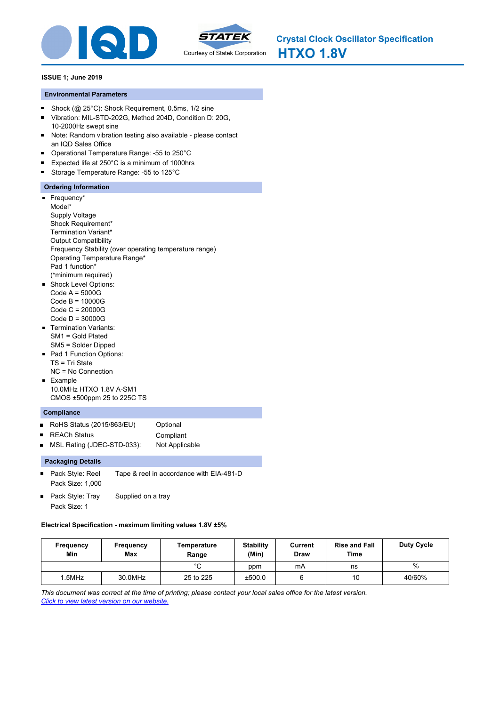



### **ISSUE 1; June 2019**

## **Environmental Parameters**

- Shock (@ 25°C): Shock Requirement, 0.5ms, 1/2 sine  $\blacksquare$
- Vibration: MIL-STD-202G, Method 204D, Condition D: 20G,  $\blacksquare$ 10-2000Hz swept sine
- Note: Random vibration testing also available please contact  $\blacksquare$ an IQD Sales Office
- Operational Temperature Range: -55 to 250°C  $\blacksquare$
- $\blacksquare$ Expected life at 250°C is a minimum of 1000hrs
- $\blacksquare$ Storage Temperature Range: -55 to 125°C

## **Ordering Information**

- Frequency\* Model\* Supply Voltage Shock Requirement\* Termination Variant\* Output Compatibility Frequency Stability (over operating temperature range) Operating Temperature Range\* Pad 1 function\* (\*minimum required) **Shock Level Options:** Code A = 5000G Code B = 10000G Code C = 20000G Code D = 30000G
- **Termination Variants:** SM1 = Gold Plated SM5 = Solder Dipped
- Pad 1 Function Options: TS = Tri State NC = No Connection
- **Example** 10.0MHz HTXO 1.8V A-SM1 CMOS ±500ppm 25 to 225C TS

## **Compliance**

 $\blacksquare$ 

- RoHS Status (2015/863/EU) Optional  $\blacksquare$
- REACh Status **Compliant**  $\blacksquare$ 
	- MSL Rating (JDEC-STD-033): Not Applicable

## **Packaging Details**

- Pack Style: Reel Tape & reel in accordance with EIA-481-D  $\blacksquare$ Pack Size: 1,000
- Pack Style: Tray Supplied on a tray Pack Size: 1

## **Electrical Specification - maximum limiting values 1.8V ±5%**

| Frequency<br>Min | <b>Frequency</b><br><b>Max</b> | Temperature<br>Range | <b>Stability</b><br>(Min) | Current<br><b>Draw</b> | <b>Rise and Fall</b><br>Time | <b>Duty Cycle</b> |
|------------------|--------------------------------|----------------------|---------------------------|------------------------|------------------------------|-------------------|
|                  |                                | $\sim$               | ppm                       | mA                     | ns                           | %                 |
| .5MHz            | 30.0MHz                        | 25 to 225            | ±500.0                    |                        | 10                           | 40/60%            |

*This document was correct at the time of printing; please contact your local sales office for the latest version. Click to view latest version on our website.*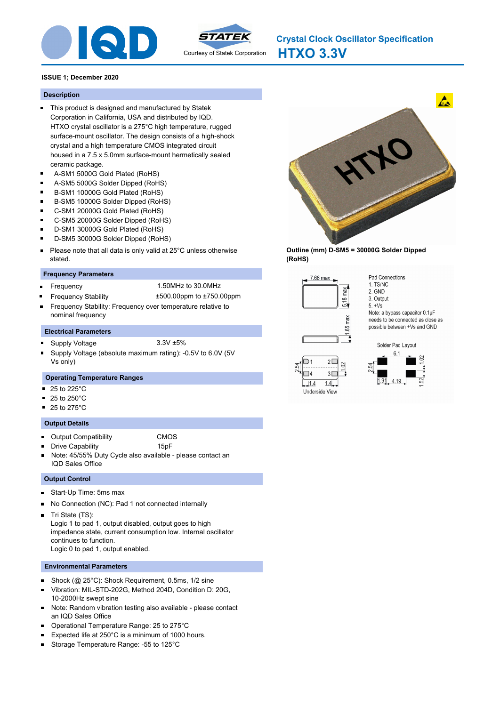



**HTXO 3.3V Crystal Clock Oscillator Specification**

#### **ISSUE 1; December 2020**

#### **Description**

- This product is designed and manufactured by Statek Corporation in California, USA and distributed by IQD. HTXO crystal oscillator is a 275°C high temperature, rugged surface-mount oscillator. The design consists of a high-shock crystal and a high temperature CMOS integrated circuit housed in a 7.5 x 5.0mm surface-mount hermetically sealed ceramic package.
- A-SM1 5000G Gold Plated (RoHS)  $\blacksquare$
- $\blacksquare$ A-SM5 5000G Solder Dipped (RoHS)
- B-SM1 10000G Gold Plated (RoHS)
- B-SM5 10000G Solder Dipped (RoHS)
- C-SM1 20000G Gold Plated (RoHS)
- $\blacksquare$ C-SM5 20000G Solder Dipped (RoHS)
- D-SM1 30000G Gold Plated (RoHS)
- D-SM5 30000G Solder Dipped (RoHS)
- Please note that all data is only valid at 25°C unless otherwise  $\blacksquare$ stated.

#### **Frequency Parameters**

- Frequency 1.50MHz to 30.0MHz ä,
	- Frequency Stability ±500.00ppm to ±750.00ppm
- Frequency Stability: Frequency over temperature relative to nominal frequency

#### **Electrical Parameters**

- Supply Voltage 3.3V ±5%
- Supply Voltage (absolute maximum rating): -0.5V to 6.0V (5V Vs only)

#### **Operating Temperature Ranges**

- $\blacksquare$ 25 to 225°C
- 25 to 250°C
- $\blacksquare$  25 to 275 $^{\circ}$ C

#### **Output Details**

- **Dutput Compatibility CMOS**
- 

Drive Capability **15pF** 

Note: 45/55% Duty Cycle also available - please contact an IQD Sales Office

#### **Output Control**

- Start-Up Time: 5ms max  $\blacksquare$
- No Connection (NC): Pad 1 not connected internally  $\blacksquare$
- $\blacksquare$ Tri State (TS):

Logic 1 to pad 1, output disabled, output goes to high impedance state, current consumption low. Internal oscillator continues to function. Logic 0 to pad 1, output enabled.

#### **Environmental Parameters**

- Shock (@ 25°C): Shock Requirement, 0.5ms, 1/2 sine  $\blacksquare$
- П Vibration: MIL-STD-202G, Method 204D, Condition D: 20G, 10-2000Hz swept sine
- Note: Random vibration testing also available please contact n an IQD Sales Office
- Operational Temperature Range: 25 to 275°C  $\blacksquare$
- $\blacksquare$ Expected life at 250°C is a minimum of 1000 hours.
- $\blacksquare$ Storage Temperature Range: -55 to 125°C



**Outline (mm) D-SM5 = 30000G Solder Dipped (RoHS)**



 $\overline{14}$ 

 $1.4$ 

Underside View

2. GND 3. Output  $5. +Vs$ Note: a bypass capacitor 0.1µF needs to be connected as close as possible between +Vs and GND

Pad Connections

1 TS/NC



 $3\square$ 

 $1.4$ 

 $\approx$ 

Solder Pad Layout  $1.91$ 4.19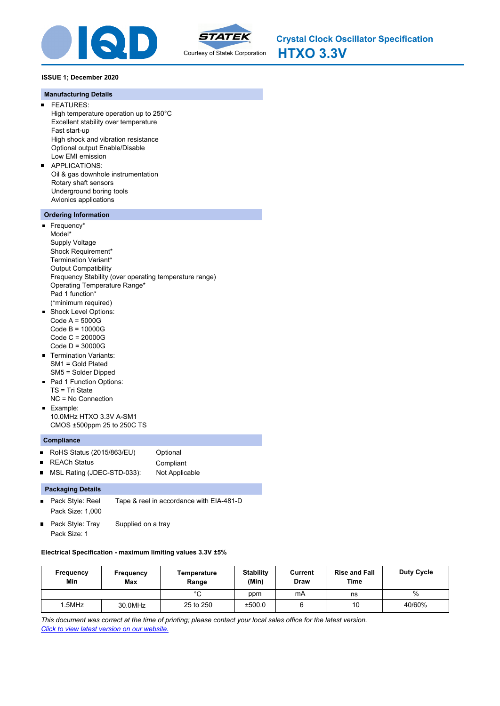



**HTXO 3.3V Crystal Clock Oscillator Specification**

## **ISSUE 1; December 2020**

#### **Manufacturing Details**

- FEATURES:  $\blacksquare$ High temperature operation up to 250°C Excellent stability over temperature Fast start-up High shock and vibration resistance Optional output Enable/Disable Low EMI emission
- APPLICATIONS:  $\blacksquare$ Oil & gas downhole instrumentation Rotary shaft sensors Underground boring tools Avionics applications

## **Ordering Information**

- Frequency\* Model\* Supply Voltage Shock Requirement\* Termination Variant\* Output Compatibility Frequency Stability (over operating temperature range) Operating Temperature Range\* Pad 1 function\* (\*minimum required) Shock Level Options:  $\blacksquare$ Code A = 5000G Code B = 10000G Code C = 20000G
- Code D = 30000G **Termination Variants:**
- SM1 = Gold Plated SM5 = Solder Dipped
- Pad 1 Function Options: TS = Tri State NC = No Connection
- **Example:** 10.0MHz HTXO 3.3V A-SM1 CMOS ±500ppm 25 to 250C TS

## **Compliance**

■ RoHS Status (2015/863/EU) Optional REACh Status **Compliant**  $\blacksquare$ MSL Rating (JDEC-STD-033): Not Applicable  $\blacksquare$ 

## **Packaging Details**

- Pack Style: Reel Tape & reel in accordance with EIA-481-D  $\blacksquare$ Pack Size: 1,000
- Pack Style: Tray Supplied on a tray Pack Size: 1

## **Electrical Specification - maximum limiting values 3.3V ±5%**

| Frequency<br>Min | Frequency<br><b>Max</b> | Temperature<br>Range | <b>Stability</b><br>(Min) | Current<br>Draw | <b>Rise and Fall</b><br>Time | <b>Duty Cycle</b> |
|------------------|-------------------------|----------------------|---------------------------|-----------------|------------------------------|-------------------|
|                  |                         | $\sim$<br>ີ          | ppm                       | mA              | ns                           | $\%$              |
| .5MHz            | 30.0MHz                 | 25 to 250            | ±500.0                    |                 | 10                           | 40/60%            |

*This document was correct at the time of printing; please contact your local sales office for the latest version. Click to view latest version on our website.*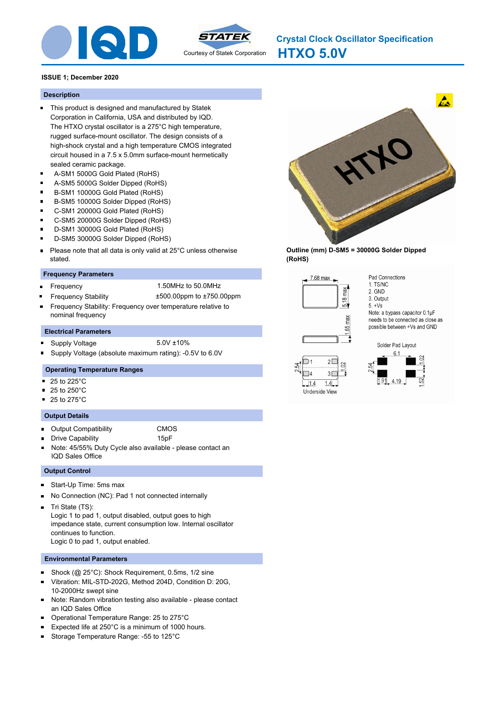



**HTXO 5.0V Crystal Clock Oscillator Specification**

## **ISSUE 1; December 2020**

## **Description**

- This product is designed and manufactured by Statek Corporation in California, USA and distributed by IQD. The HTXO crystal oscillator is a 275°C high temperature, rugged surface-mount oscillator. The design consists of a high-shock crystal and a high temperature CMOS integrated circuit housed in a 7.5 x 5.0mm surface-mount hermetically sealed ceramic package.
- A-SM1 5000G Gold Plated (RoHS) Ē.
- $\blacksquare$ A-SM5 5000G Solder Dipped (RoHS)
- B-SM1 10000G Gold Plated (RoHS)
- B-SM5 10000G Solder Dipped (RoHS)
- C-SM1 20000G Gold Plated (RoHS)
- $\blacksquare$ C-SM5 20000G Solder Dipped (RoHS)
- D-SM1 30000G Gold Plated (RoHS)
- D-SM5 30000G Solder Dipped (RoHS)
- Please note that all data is only valid at 25°C unless otherwise  $\blacksquare$ stated.

## **Frequency Parameters**

Frequency 1.50MHz to 50.0MHz ä,

Frequency Stability ±500.00ppm to ±750.00ppm

Frequency Stability: Frequency over temperature relative to nominal frequency

#### **Electrical Parameters**

- Supply Voltage 5.0V ±10%
- Supply Voltage (absolute maximum rating): -0.5V to 6.0V

#### **Operating Temperature Ranges**

- 25 to 225°C  $\blacksquare$
- 25 to 250°C
- $\blacksquare$  25 to 275 $^{\circ}$ C

#### **Output Details**

- Output Compatibility CMOS
- Drive Capability **15pF** 
	-
- Note: 45/55% Duty Cycle also available please contact an IQD Sales Office

#### **Output Control**

- Start-Up Time: 5ms max  $\blacksquare$
- No Connection (NC): Pad 1 not connected internally n
- Tri State (TS):  $\blacksquare$

Logic 1 to pad 1, output disabled, output goes to high impedance state, current consumption low. Internal oscillator continues to function. Logic 0 to pad 1, output enabled.

#### **Environmental Parameters**

- $\blacksquare$ Shock (@ 25°C): Shock Requirement, 0.5ms, 1/2 sine
- Vibration: MIL-STD-202G, Method 204D, Condition D: 20G, 10-2000Hz swept sine
- Note: Random vibration testing also available please contact  $\blacksquare$ an IQD Sales Office
- Operational Temperature Range: 25 to 275°C
- Expected life at 250°C is a minimum of 1000 hours.
- $\blacksquare$ Storage Temperature Range: -55 to 125°C



**Outline (mm) D-SM5 = 30000G Solder Dipped (RoHS)**



 $\overline{14}$ 

 $1.4$ Underside View 1 TS/NC 2. GND 3. Output  $5. +Vs$ Note: a bypass capacitor 0.1µF needs to be connected as close as possible between +Vs and GND

Pad Connections



 $1.4$ 

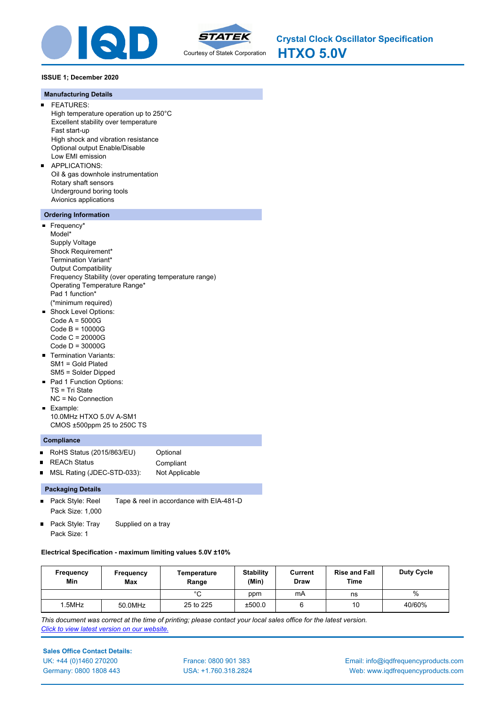



**HTXO 5.0V Crystal Clock Oscillator Specification**

## **ISSUE 1; December 2020**

#### **Manufacturing Details**

- FEATURES:  $\blacksquare$ High temperature operation up to 250°C Excellent stability over temperature Fast start-up High shock and vibration resistance Optional output Enable/Disable Low EMI emission
- $\blacksquare$ APPLICATIONS: Oil & gas downhole instrumentation Rotary shaft sensors Underground boring tools Avionics applications

## **Ordering Information**

- Frequency\* Model\* Supply Voltage Shock Requirement\* Termination Variant\* Output Compatibility Frequency Stability (over operating temperature range) Operating Temperature Range\* Pad 1 function\* (\*minimum required) Shock Level Options:  $\blacksquare$ Code A = 5000G Code B = 10000G Code C = 20000G
- Code D = 30000G
- **Termination Variants:** SM1 = Gold Plated SM5 = Solder Dipped
- Pad 1 Function Options: TS = Tri State NC = No Connection
- **Example:** 10.0MHz HTXO 5.0V A-SM1 CMOS ±500ppm 25 to 250C TS

#### **Compliance**

■ RoHS Status (2015/863/EU) Optional  $\blacksquare$ REACh Status **Compliant** MSL Rating (JDEC-STD-033): Not Applicable  $\blacksquare$ 

#### **Packaging Details**

- Pack Style: Reel Tape & reel in accordance with EIA-481-D  $\blacksquare$ Pack Size: 1,000
- Pack Style: Tray Supplied on a tray Pack Size: 1

#### **Electrical Specification - maximum limiting values 5.0V ±10%**

| Frequency<br>Min | Frequency<br>Max | Temperature<br>Range | <b>Stability</b><br>(Min) | Current<br>Draw | <b>Rise and Fall</b><br>Time | <b>Duty Cycle</b> |
|------------------|------------------|----------------------|---------------------------|-----------------|------------------------------|-------------------|
|                  |                  | $\sim$               | ppm                       | mA              | ns                           | $\%$              |
| .5MHz            | 50.0MHz          | 25 to 225            | ±500.0                    |                 | 10                           | 40/60%            |

*This document was correct at the time of printing; please contact your local sales office for the latest version. Click to view latest version on our website.*

## **Sales Office Contact Details:**

UK: +44 (0)1460 270200 France: 0800 901 383 Germany: 0800 1808 443

USA: +1.760.318.2824

Email: info@iqdfrequencyproducts.com Web: www.iqdfrequencyproducts.com